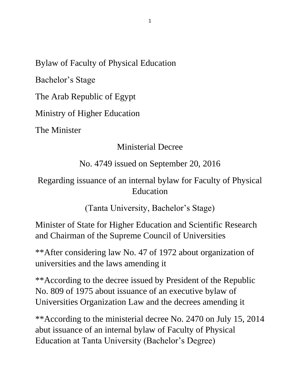Bylaw of Faculty of Physical Education

Bachelor's Stage

The Arab Republic of Egypt

Ministry of Higher Education

The Minister

#### Ministerial Decree

### No. 4749 issued on September 20, 2016

### Regarding issuance of an internal bylaw for Faculty of Physical Education

(Tanta University, Bachelor's Stage)

Minister of State for Higher Education and Scientific Research and Chairman of the Supreme Council of Universities

\*\*After considering law No. 47 of 1972 about organization of universities and the laws amending it

\*\*According to the decree issued by President of the Republic No. 809 of 1975 about issuance of an executive bylaw of Universities Organization Law and the decrees amending it

\*\*According to the ministerial decree No. 2470 on July 15, 2014 abut issuance of an internal bylaw of Faculty of Physical Education at Tanta University (Bachelor's Degree)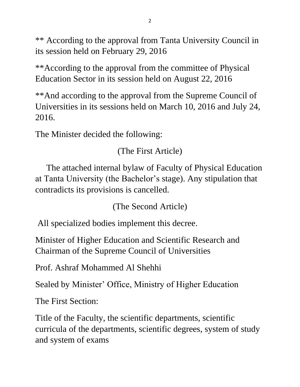\*\* According to the approval from Tanta University Council in its session held on February 29, 2016

\*\*According to the approval from the committee of Physical Education Sector in its session held on August 22, 2016

\*\*And according to the approval from the Supreme Council of Universities in its sessions held on March 10, 2016 and July 24, 2016.

The Minister decided the following:

(The First Article)

 The attached internal bylaw of Faculty of Physical Education at Tanta University (the Bachelor's stage). Any stipulation that contradicts its provisions is cancelled.

(The Second Article)

All specialized bodies implement this decree.

Minister of Higher Education and Scientific Research and Chairman of the Supreme Council of Universities

Prof. Ashraf Mohammed Al Shehhi

Sealed by Minister' Office, Ministry of Higher Education

The First Section:

Title of the Faculty, the scientific departments, scientific curricula of the departments, scientific degrees, system of study and system of exams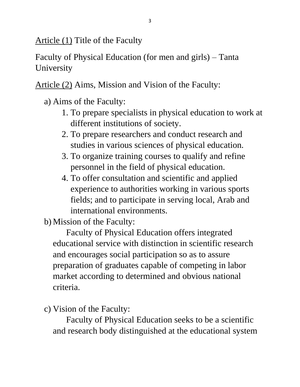Article (1) Title of the Faculty

Faculty of Physical Education (for men and girls) – Tanta University

Article (2) Aims, Mission and Vision of the Faculty:

- a) Aims of the Faculty:
	- 1. To prepare specialists in physical education to work at different institutions of society.
	- 2. To prepare researchers and conduct research and studies in various sciences of physical education.
	- 3. To organize training courses to qualify and refine personnel in the field of physical education.
	- 4. To offer consultation and scientific and applied experience to authorities working in various sports fields; and to participate in serving local, Arab and international environments.

b) Mission of the Faculty:

 Faculty of Physical Education offers integrated educational service with distinction in scientific research and encourages social participation so as to assure preparation of graduates capable of competing in labor market according to determined and obvious national criteria.

c) Vision of the Faculty:

 Faculty of Physical Education seeks to be a scientific and research body distinguished at the educational system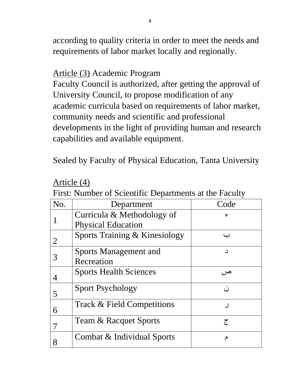according to quality criteria in order to meet the needs and requirements of labor market locally and regionally.

### Article (3) Academic Program

Faculty Council is authorized, after getting the approval of University Council, to propose modification of any academic curricula based on requirements of labor market, community needs and scientific and professional developments in the light of providing human and research capabilities and available equipment.

Sealed by Faculty of Physical Education, Tanta University

| No. | Department                    | Code |
|-----|-------------------------------|------|
|     | Curricula & Methodology of    |      |
|     | <b>Physical Education</b>     |      |
| 2   | Sports Training & Kinesiology |      |
| 3   | <b>Sports Management and</b>  | د    |
|     | Recreation                    |      |
|     | <b>Sports Health Sciences</b> | صر ، |
| 5   | <b>Sport Psychology</b>       | ن    |
| 6   | Track & Field Competitions    |      |
|     | Team & Racquet Sports         | ج    |
|     | Combat & Individual Sports    |      |

Article (4)

First: Number of Scientific Departments at the Faculty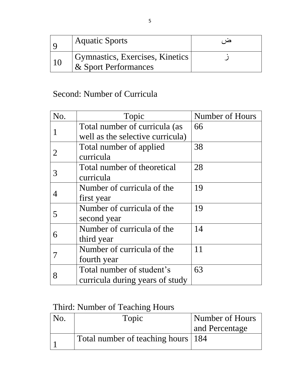|    | Aquatic Sports                  |  |
|----|---------------------------------|--|
| 10 | Gymnastics, Exercises, Kinetics |  |
|    | & Sport Performances            |  |

# Second: Number of Curricula

| No.            | Topic                            | Number of Hours |
|----------------|----------------------------------|-----------------|
|                | Total number of curricula (as    | 66              |
|                | well as the selective curricula) |                 |
|                | Total number of applied          | 38              |
| $\overline{2}$ | curricula                        |                 |
|                | Total number of theoretical      | 28              |
| 3              | curricula                        |                 |
|                | Number of curricula of the       | 19              |
| 4              | first year                       |                 |
|                | Number of curricula of the       | 19              |
| 5              | second year                      |                 |
|                | Number of curricula of the       | 14              |
| 6              | third year                       |                 |
|                | Number of curricula of the       | 11              |
|                | fourth year                      |                 |
|                | Total number of student's        | 63              |
| 8              | curricula during years of study  |                 |

# Third: Number of Teaching Hours

| No. | Topic                                | Number of Hours |
|-----|--------------------------------------|-----------------|
|     |                                      | and Percentage  |
|     | Total number of teaching hours   184 |                 |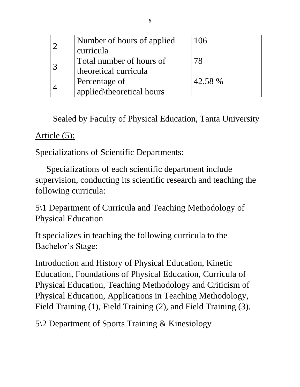|  | Number of hours of applied | 106     |
|--|----------------------------|---------|
|  | curricula                  |         |
|  | Total number of hours of   | 78      |
|  | theoretical curricula      |         |
|  | Percentage of              | 42.58 % |
|  | applied\theoretical hours  |         |

Sealed by Faculty of Physical Education, Tanta University

#### Article  $(5)$ :

Specializations of Scientific Departments:

 Specializations of each scientific department include supervision, conducting its scientific research and teaching the following curricula:

5\1 Department of Curricula and Teaching Methodology of Physical Education

It specializes in teaching the following curricula to the Bachelor's Stage:

Introduction and History of Physical Education, Kinetic Education, Foundations of Physical Education, Curricula of Physical Education, Teaching Methodology and Criticism of Physical Education, Applications in Teaching Methodology, Field Training (1), Field Training (2), and Field Training (3).

5\2 Department of Sports Training & Kinesiology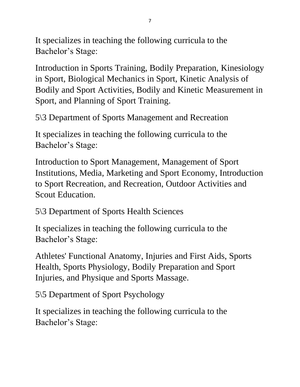It specializes in teaching the following curricula to the Bachelor's Stage:

Introduction in Sports Training, Bodily Preparation, Kinesiology in Sport, Biological Mechanics in Sport, Kinetic Analysis of Bodily and Sport Activities, Bodily and Kinetic Measurement in Sport, and Planning of Sport Training.

5\3 Department of Sports Management and Recreation

It specializes in teaching the following curricula to the Bachelor's Stage:

Introduction to Sport Management, Management of Sport Institutions, Media, Marketing and Sport Economy, Introduction to Sport Recreation, and Recreation, Outdoor Activities and Scout Education.

5\3 Department of Sports Health Sciences

It specializes in teaching the following curricula to the Bachelor's Stage:

Athletes' Functional Anatomy, Injuries and First Aids, Sports Health, Sports Physiology, Bodily Preparation and Sport Injuries, and Physique and Sports Massage.

5\5 Department of Sport Psychology

It specializes in teaching the following curricula to the Bachelor's Stage: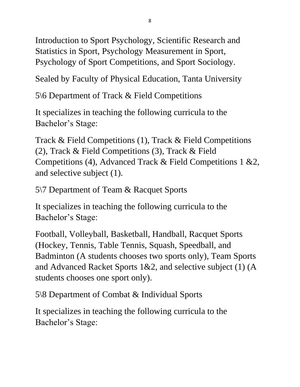Introduction to Sport Psychology, Scientific Research and Statistics in Sport, Psychology Measurement in Sport, Psychology of Sport Competitions, and Sport Sociology.

Sealed by Faculty of Physical Education, Tanta University

5\6 Department of Track & Field Competitions

It specializes in teaching the following curricula to the Bachelor's Stage:

Track & Field Competitions (1), Track & Field Competitions (2), Track & Field Competitions (3), Track & Field Competitions (4), Advanced Track & Field Competitions 1 &2, and selective subject (1).

5\7 Department of Team & Racquet Sports

It specializes in teaching the following curricula to the Bachelor's Stage:

Football, Volleyball, Basketball, Handball, Racquet Sports (Hockey, Tennis, Table Tennis, Squash, Speedball, and Badminton (A students chooses two sports only), Team Sports and Advanced Racket Sports 1&2, and selective subject (1) (A students chooses one sport only).

5\8 Department of Combat & Individual Sports

It specializes in teaching the following curricula to the Bachelor's Stage: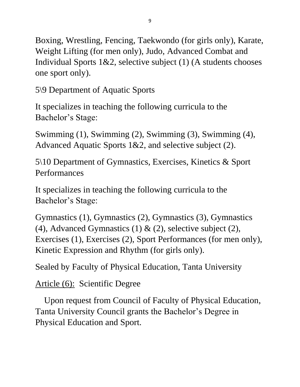Boxing, Wrestling, Fencing, Taekwondo (for girls only), Karate, Weight Lifting (for men only), Judo, Advanced Combat and Individual Sports 1&2, selective subject (1) (A students chooses one sport only).

5\9 Department of Aquatic Sports

It specializes in teaching the following curricula to the Bachelor's Stage:

Swimming (1), Swimming (2), Swimming (3), Swimming (4), Advanced Aquatic Sports 1&2, and selective subject (2).

5\10 Department of Gymnastics, Exercises, Kinetics & Sport Performances

It specializes in teaching the following curricula to the Bachelor's Stage:

Gymnastics (1), Gymnastics (2), Gymnastics (3), Gymnastics (4), Advanced Gymnastics (1)  $\&$  (2), selective subject (2), Exercises (1), Exercises (2), Sport Performances (for men only), Kinetic Expression and Rhythm (for girls only).

Sealed by Faculty of Physical Education, Tanta University

# Article (6): Scientific Degree

 Upon request from Council of Faculty of Physical Education, Tanta University Council grants the Bachelor's Degree in Physical Education and Sport.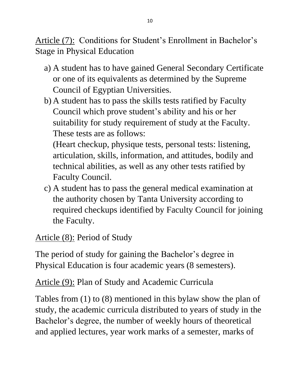Article (7): Conditions for Student's Enrollment in Bachelor's Stage in Physical Education

- a) A student has to have gained General Secondary Certificate or one of its equivalents as determined by the Supreme Council of Egyptian Universities.
- b) A student has to pass the skills tests ratified by Faculty Council which prove student's ability and his or her suitability for study requirement of study at the Faculty. These tests are as follows:

(Heart checkup, physique tests, personal tests: listening, articulation, skills, information, and attitudes, bodily and technical abilities, as well as any other tests ratified by Faculty Council.

c) A student has to pass the general medical examination at the authority chosen by Tanta University according to required checkups identified by Faculty Council for joining the Faculty.

Article (8): Period of Study

The period of study for gaining the Bachelor's degree in Physical Education is four academic years (8 semesters).

Article (9): Plan of Study and Academic Curricula

Tables from (1) to (8) mentioned in this bylaw show the plan of study, the academic curricula distributed to years of study in the Bachelor's degree, the number of weekly hours of theoretical and applied lectures, year work marks of a semester, marks of